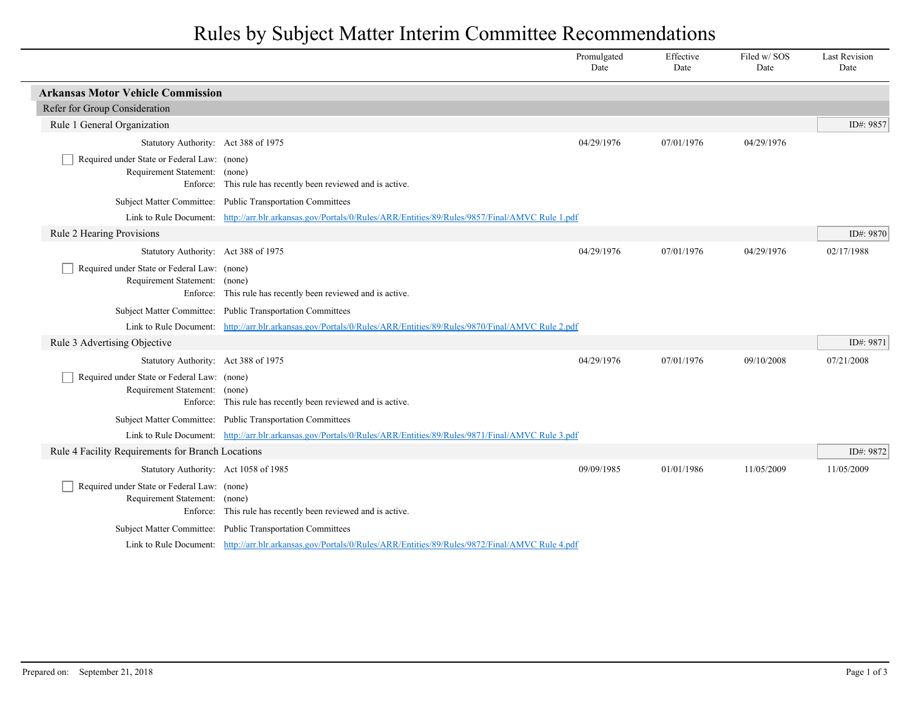## Rules by Subject Matter Interim Committee Recommendations

|                                                                              |                                                                                                                     | Promulgated<br>Date | Effective<br>Date | Filed w/ SOS<br>Date | <b>Last Revision</b><br>Date |
|------------------------------------------------------------------------------|---------------------------------------------------------------------------------------------------------------------|---------------------|-------------------|----------------------|------------------------------|
| <b>Arkansas Motor Vehicle Commission</b>                                     |                                                                                                                     |                     |                   |                      |                              |
| Refer for Group Consideration                                                |                                                                                                                     |                     |                   |                      |                              |
| Rule 1 General Organization                                                  |                                                                                                                     |                     |                   |                      | ID#: 9857                    |
| Statutory Authority: Act 388 of 1975                                         |                                                                                                                     | 04/29/1976          | 07/01/1976        | 04/29/1976           |                              |
| Required under State or Federal Law: (none)<br>Requirement Statement: (none) | Enforce: This rule has recently been reviewed and is active.                                                        |                     |                   |                      |                              |
|                                                                              | Subject Matter Committee: Public Transportation Committees                                                          |                     |                   |                      |                              |
|                                                                              | Link to Rule Document: http://arr.blr.arkansas.gov/Portals/0/Rules/ARR/Entities/89/Rules/9857/Final/AMVC Rule 1.pdf |                     |                   |                      |                              |
| Rule 2 Hearing Provisions                                                    |                                                                                                                     |                     |                   |                      | ID#: 9870                    |
| Statutory Authority: Act 388 of 1975                                         |                                                                                                                     | 04/29/1976          | 07/01/1976        | 04/29/1976           | 02/17/1988                   |
| Required under State or Federal Law: (none)<br>Requirement Statement: (none) | Enforce: This rule has recently been reviewed and is active.                                                        |                     |                   |                      |                              |
|                                                                              | Subject Matter Committee: Public Transportation Committees                                                          |                     |                   |                      |                              |
|                                                                              | Link to Rule Document: http://arr.blr.arkansas.gov/Portals/0/Rules/ARR/Entities/89/Rules/9870/Final/AMVC Rule 2.pdf |                     |                   |                      |                              |
| Rule 3 Advertising Objective                                                 |                                                                                                                     |                     |                   |                      | ID#: 9871                    |
| Statutory Authority: Act 388 of 1975                                         |                                                                                                                     | 04/29/1976          | 07/01/1976        | 09/10/2008           | 07/21/2008                   |
| Required under State or Federal Law: (none)<br>Requirement Statement:        | (none)<br>Enforce: This rule has recently been reviewed and is active.                                              |                     |                   |                      |                              |
|                                                                              | Subject Matter Committee: Public Transportation Committees                                                          |                     |                   |                      |                              |
|                                                                              | Link to Rule Document: http://arr.blr.arkansas.gov/Portals/0/Rules/ARR/Entities/89/Rules/9871/Final/AMVC Rule 3.pdf |                     |                   |                      |                              |
| Rule 4 Facility Requirements for Branch Locations                            |                                                                                                                     |                     |                   |                      | ID#: 9872                    |
| Statutory Authority: Act 1058 of 1985                                        |                                                                                                                     | 09/09/1985          | 01/01/1986        | 11/05/2009           | 11/05/2009                   |
| Required under State or Federal Law: (none)<br>Requirement Statement: (none) | Enforce: This rule has recently been reviewed and is active.                                                        |                     |                   |                      |                              |
|                                                                              | Subject Matter Committee: Public Transportation Committees                                                          |                     |                   |                      |                              |
|                                                                              | Link to Rule Document: http://arr.blr.arkansas.gov/Portals/0/Rules/ARR/Entities/89/Rules/9872/Final/AMVC Rule 4.pdf |                     |                   |                      |                              |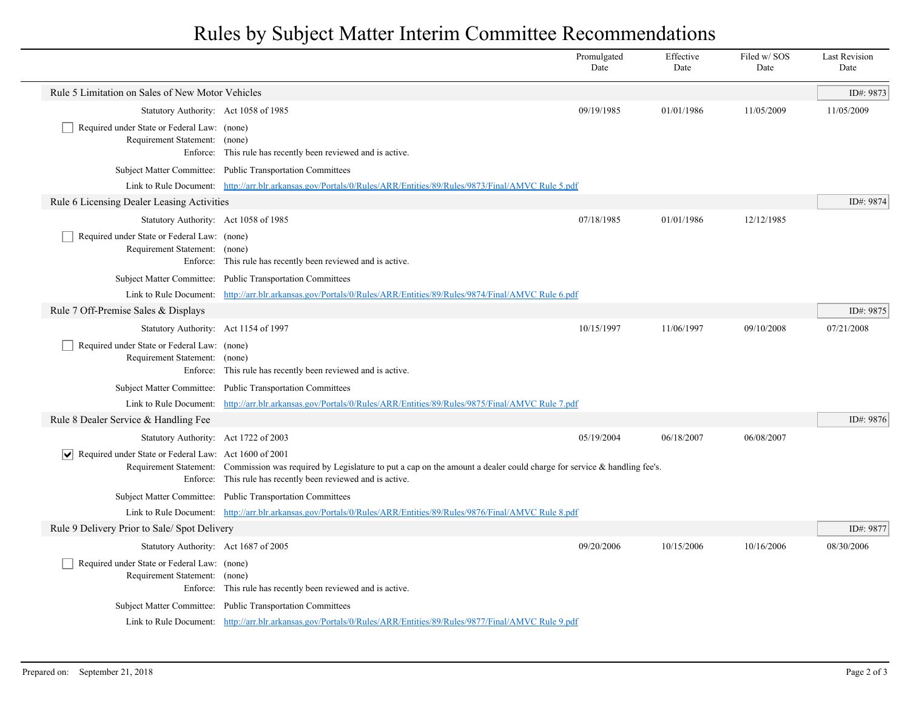## Rules by Subject Matter Interim Committee Recommendations

|                                                                                 |                                                                                                                                                                                                                 | Promulgated<br>Date | Effective<br>Date | Filed w/SOS<br>Date | <b>Last Revision</b><br>Date |
|---------------------------------------------------------------------------------|-----------------------------------------------------------------------------------------------------------------------------------------------------------------------------------------------------------------|---------------------|-------------------|---------------------|------------------------------|
| Rule 5 Limitation on Sales of New Motor Vehicles                                |                                                                                                                                                                                                                 |                     |                   |                     | ID#: 9873                    |
| Statutory Authority: Act 1058 of 1985                                           |                                                                                                                                                                                                                 | 09/19/1985          | 01/01/1986        | 11/05/2009          | 11/05/2009                   |
| Required under State or Federal Law: (none)<br>Requirement Statement: (none)    | Enforce: This rule has recently been reviewed and is active.                                                                                                                                                    |                     |                   |                     |                              |
|                                                                                 | Subject Matter Committee: Public Transportation Committees                                                                                                                                                      |                     |                   |                     |                              |
|                                                                                 | Link to Rule Document: http://arr.blr.arkansas.gov/Portals/0/Rules/ARR/Entities/89/Rules/9873/Final/AMVC Rule 5.pdf                                                                                             |                     |                   |                     |                              |
| Rule 6 Licensing Dealer Leasing Activities                                      |                                                                                                                                                                                                                 |                     |                   |                     | ID#: 9874                    |
| Statutory Authority: Act 1058 of 1985                                           |                                                                                                                                                                                                                 | 07/18/1985          | 01/01/1986        | 12/12/1985          |                              |
| Required under State or Federal Law: (none)<br>Requirement Statement: (none)    | Enforce: This rule has recently been reviewed and is active.                                                                                                                                                    |                     |                   |                     |                              |
|                                                                                 | Subject Matter Committee: Public Transportation Committees                                                                                                                                                      |                     |                   |                     |                              |
|                                                                                 | Link to Rule Document: http://arr.blr.arkansas.gov/Portals/0/Rules/ARR/Entities/89/Rules/9874/Final/AMVC Rule 6.pdf                                                                                             |                     |                   |                     |                              |
| Rule 7 Off-Premise Sales & Displays                                             |                                                                                                                                                                                                                 |                     |                   |                     | ID#: 9875                    |
| Statutory Authority: Act 1154 of 1997                                           |                                                                                                                                                                                                                 | 10/15/1997          | 11/06/1997        | 09/10/2008          | 07/21/2008                   |
| Required under State or Federal Law: (none)<br>Requirement Statement: (none)    | Enforce: This rule has recently been reviewed and is active.                                                                                                                                                    |                     |                   |                     |                              |
|                                                                                 | Subject Matter Committee: Public Transportation Committees                                                                                                                                                      |                     |                   |                     |                              |
|                                                                                 | Link to Rule Document: http://arr.blr.arkansas.gov/Portals/0/Rules/ARR/Entities/89/Rules/9875/Final/AMVC Rule 7.pdf                                                                                             |                     |                   |                     |                              |
| Rule 8 Dealer Service & Handling Fee                                            |                                                                                                                                                                                                                 |                     |                   |                     | ID#: 9876                    |
| Statutory Authority: Act 1722 of 2003                                           |                                                                                                                                                                                                                 | 05/19/2004          | 06/18/2007        | 06/08/2007          |                              |
| $\vert \bm \vee \vert$<br>Required under State or Federal Law: Act 1600 of 2001 | Requirement Statement: Commission was required by Legislature to put a cap on the amount a dealer could charge for service $\&$ handling fee's.<br>Enforce: This rule has recently been reviewed and is active. |                     |                   |                     |                              |
|                                                                                 | Subject Matter Committee: Public Transportation Committees                                                                                                                                                      |                     |                   |                     |                              |
|                                                                                 | Link to Rule Document: http://arr.blr.arkansas.gov/Portals/0/Rules/ARR/Entities/89/Rules/9876/Final/AMVC Rule 8.pdf                                                                                             |                     |                   |                     |                              |
| Rule 9 Delivery Prior to Sale/ Spot Delivery                                    |                                                                                                                                                                                                                 |                     |                   |                     | ID#: 9877                    |
| Statutory Authority: Act 1687 of 2005                                           |                                                                                                                                                                                                                 | 09/20/2006          | 10/15/2006        | 10/16/2006          | 08/30/2006                   |
| Required under State or Federal Law: (none)<br>Requirement Statement: (none)    | Enforce: This rule has recently been reviewed and is active.                                                                                                                                                    |                     |                   |                     |                              |
|                                                                                 | Subject Matter Committee: Public Transportation Committees                                                                                                                                                      |                     |                   |                     |                              |
|                                                                                 | Link to Rule Document: http://arr.blr.arkansas.gov/Portals/0/Rules/ARR/Entities/89/Rules/9877/Final/AMVC Rule 9.pdf                                                                                             |                     |                   |                     |                              |